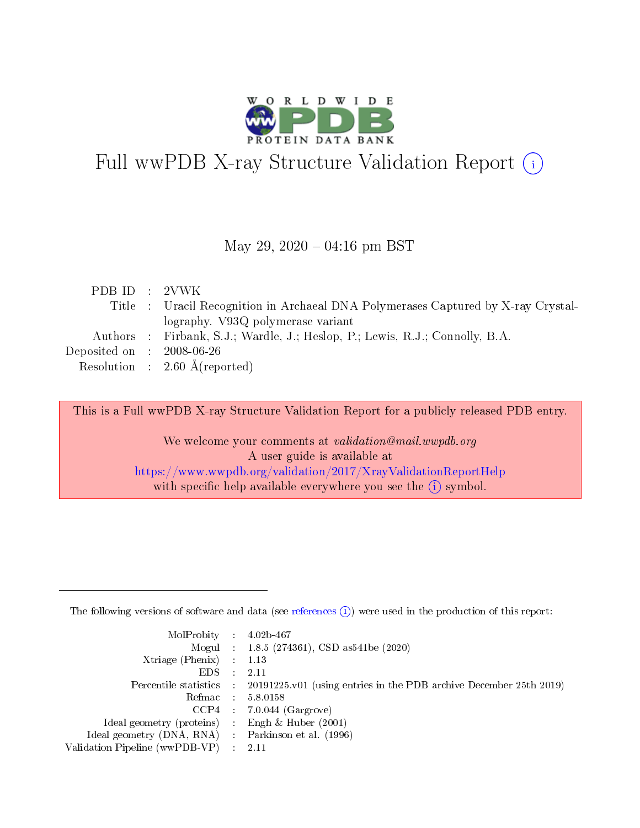

# Full wwPDB X-ray Structure Validation Report (i)

#### May 29,  $2020 - 04:16$  pm BST

| PDB ID : 2VWK                       |                                                                                   |
|-------------------------------------|-----------------------------------------------------------------------------------|
|                                     | Title : Uracil Recognition in Archaeal DNA Polymerases Captured by X-ray Crystal- |
|                                     | lography. V93Q polymerase variant                                                 |
|                                     | Authors : Firbank, S.J.; Wardle, J.; Heslop, P.; Lewis, R.J.; Connolly, B.A.      |
| Deposited on $\,$ : 2008-06-26 $\,$ |                                                                                   |
|                                     | Resolution : $2.60 \text{ Å}$ (reported)                                          |

This is a Full wwPDB X-ray Structure Validation Report for a publicly released PDB entry.

We welcome your comments at validation@mail.wwpdb.org A user guide is available at <https://www.wwpdb.org/validation/2017/XrayValidationReportHelp> with specific help available everywhere you see the  $(i)$  symbol.

The following versions of software and data (see [references](https://www.wwpdb.org/validation/2017/XrayValidationReportHelp#references)  $(1)$ ) were used in the production of this report:

| $MolProbability$ : 4.02b-467                        |                                                                                            |
|-----------------------------------------------------|--------------------------------------------------------------------------------------------|
|                                                     | Mogul : 1.8.5 (274361), CSD as 541be (2020)                                                |
| Xtriage (Phenix) $: 1.13$                           |                                                                                            |
| EDS :                                               | -2.11                                                                                      |
|                                                     | Percentile statistics : 20191225.v01 (using entries in the PDB archive December 25th 2019) |
| Refmac 58.0158                                      |                                                                                            |
|                                                     | $CCP4$ 7.0.044 (Gargrove)                                                                  |
| Ideal geometry (proteins) : Engh $\&$ Huber (2001)  |                                                                                            |
| Ideal geometry (DNA, RNA) : Parkinson et al. (1996) |                                                                                            |
| Validation Pipeline (wwPDB-VP) : 2.11               |                                                                                            |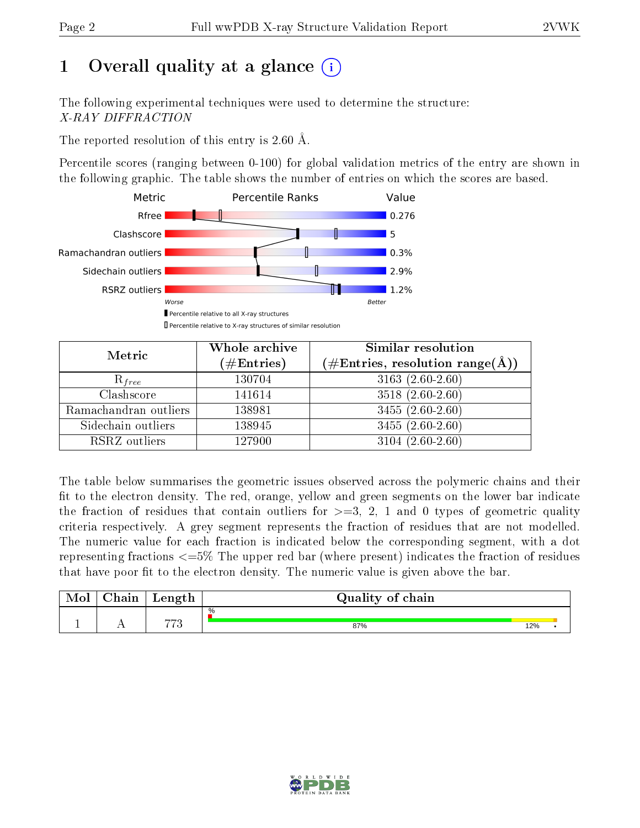## 1 [O](https://www.wwpdb.org/validation/2017/XrayValidationReportHelp#overall_quality)verall quality at a glance  $(i)$

The following experimental techniques were used to determine the structure: X-RAY DIFFRACTION

The reported resolution of this entry is 2.60 Å.

Percentile scores (ranging between 0-100) for global validation metrics of the entry are shown in the following graphic. The table shows the number of entries on which the scores are based.



| Metric                | Whole archive<br>$(\#\text{Entries})$ | Similar resolution<br>$(\#\text{Entries}, \text{resolution range}(\text{\AA}))$ |
|-----------------------|---------------------------------------|---------------------------------------------------------------------------------|
| $R_{free}$            | 130704                                | $3163(2.60-2.60)$                                                               |
| Clashscore            | 141614                                | $3518(2.60-2.60)$                                                               |
| Ramachandran outliers | 138981                                | $3455(2.60-2.60)$                                                               |
| Sidechain outliers    | 138945                                | $3455(2.60-2.60)$                                                               |
| RSRZ outliers         | 127900                                | $3104(2.60-2.60)$                                                               |

The table below summarises the geometric issues observed across the polymeric chains and their fit to the electron density. The red, orange, yellow and green segments on the lower bar indicate the fraction of residues that contain outliers for  $>=3, 2, 1$  and 0 types of geometric quality criteria respectively. A grey segment represents the fraction of residues that are not modelled. The numeric value for each fraction is indicated below the corresponding segment, with a dot representing fractions  $\epsilon=5\%$  The upper red bar (where present) indicates the fraction of residues that have poor fit to the electron density. The numeric value is given above the bar.

| Mol       | $\sim$ 1<br>hain | Length         | Quality of chain |     |  |
|-----------|------------------|----------------|------------------|-----|--|
|           |                  | $\overline{m}$ | %                |     |  |
| <u>д.</u> | . .              | 1 t.           | 87%              | 12% |  |

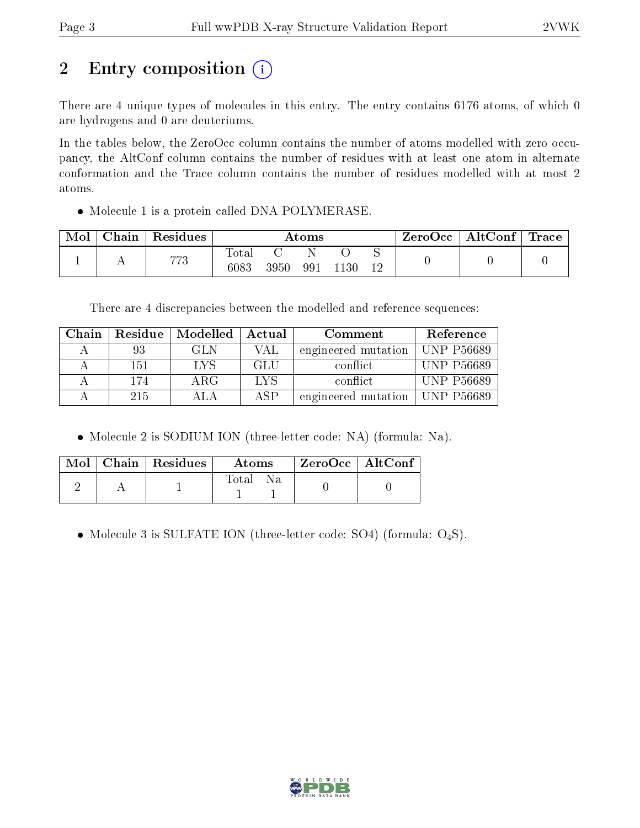## 2 Entry composition (i)

There are 4 unique types of molecules in this entry. The entry contains 6176 atoms, of which 0 are hydrogens and 0 are deuteriums.

In the tables below, the ZeroOcc column contains the number of atoms modelled with zero occupancy, the AltConf column contains the number of residues with at least one atom in alternate conformation and the Trace column contains the number of residues modelled with at most 2 atoms.

• Molecule 1 is a protein called DNA POLYMERASE.

| Mol | $\mid$ Chain $\mid$ Residues | Atoms         |      |     |      | $\rm{ZeroOcc} \mid \rm{AltConf} \mid \rm{Trace}$ |  |  |
|-----|------------------------------|---------------|------|-----|------|--------------------------------------------------|--|--|
|     | 773                          | Total<br>6083 | 3950 | 991 | 1130 |                                                  |  |  |

There are 4 discrepancies between the modelled and reference sequences:

| Chain |     | Residue   Modelled | Actual     | Comment             | Reference         |
|-------|-----|--------------------|------------|---------------------|-------------------|
|       | 93  | GL N               | VAL        | engineered mutation | UNP P56689        |
|       | 151 | LYS                | GLU        | conflict            | <b>UNP P56689</b> |
|       | 174 | ARG                | <b>LVS</b> | conflict.           | <b>UNP P56689</b> |
|       | 215 |                    | ASP        | engineered mutation | $\mid$ UNP P56689 |

• Molecule 2 is SODIUM ION (three-letter code: NA) (formula: Na).

|  | $\text{Mol}$   Chain   Residues | <b>Atoms</b>     | $\rm ZeroOcc \mid AltConf$ |  |
|--|---------------------------------|------------------|----------------------------|--|
|  |                                 | - Total -<br>Na. |                            |  |

• Molecule 3 is SULFATE ION (three-letter code: SO4) (formula:  $O_4S$ ).

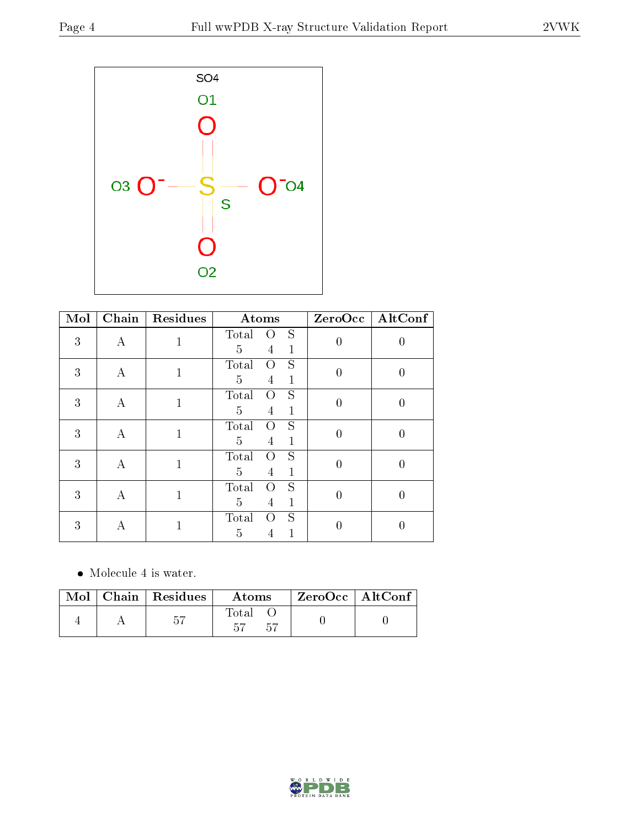

| Mol | $\overline{\text{Chain}}$ | Residues     | Atoms                                                         |                  | ZeroOcc   AltConf |
|-----|---------------------------|--------------|---------------------------------------------------------------|------------------|-------------------|
| 3   | А                         | 1            | S<br>Total<br>$\left( \right)$<br>5<br>$\mathbf{1}$<br>4      | $\overline{0}$   |                   |
| 3   | А                         | $\mathbf{1}$ | S<br>Total<br>O<br>5<br>$\mathbf{1}$<br>4                     | $\overline{0}$   | 0                 |
| 3   | А                         | $\mathbf{1}$ | S<br>Total<br>$\left( \right)$<br>5<br>$\mathbf 1$<br>4       | $\boldsymbol{0}$ | $\overline{0}$    |
| 3   | А                         | $\mathbf{1}$ | S<br>Total<br>O<br>$\overline{5}$<br>$\mathbf{1}$<br>4        | $\overline{0}$   | $\overline{0}$    |
| 3   | А                         | $\mathbf{1}$ | S<br>Total<br>$\left( \right)$<br>5<br>$\mathbf{1}$<br>4      | $\overline{0}$   | $\theta$          |
| 3   | A                         | $\mathbf{1}$ | S<br>Total<br>$\Omega$<br>$\overline{5}$<br>$\mathbf{1}$<br>4 | $\overline{0}$   | $\theta$          |
| 3   | А                         |              | S<br>Total<br>$\Omega$<br>5<br>1<br>4                         | 0                |                   |

• Molecule 4 is water.

|  | $\text{Mol}$   Chain   Residues | Atoms       | $ZeroOcc$   AltConf |  |
|--|---------------------------------|-------------|---------------------|--|
|  | 57                              | Fotal<br>トロ |                     |  |

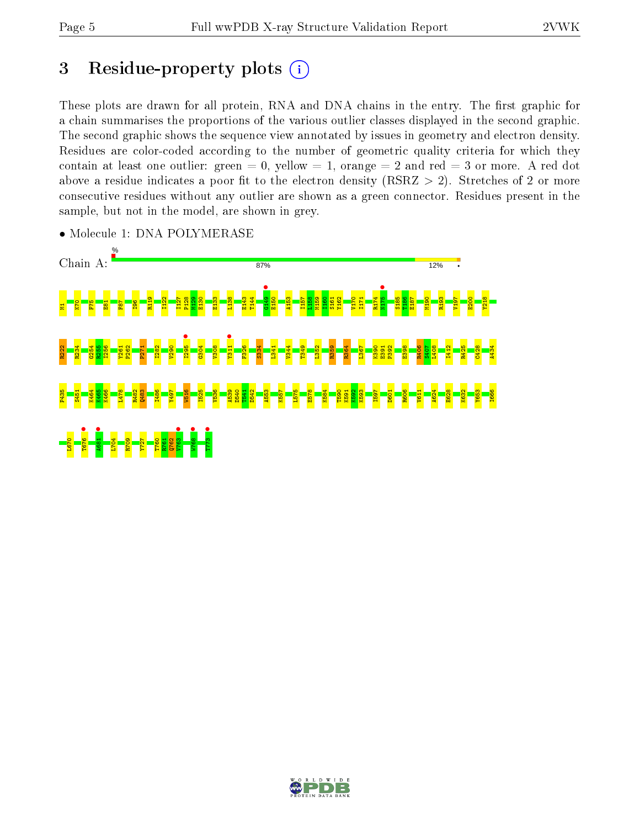## 3 Residue-property plots  $(i)$

These plots are drawn for all protein, RNA and DNA chains in the entry. The first graphic for a chain summarises the proportions of the various outlier classes displayed in the second graphic. The second graphic shows the sequence view annotated by issues in geometry and electron density. Residues are color-coded according to the number of geometric quality criteria for which they contain at least one outlier: green  $= 0$ , yellow  $= 1$ , orange  $= 2$  and red  $= 3$  or more. A red dot above a residue indicates a poor fit to the electron density (RSRZ  $> 2$ ). Stretches of 2 or more consecutive residues without any outlier are shown as a green connector. Residues present in the sample, but not in the model, are shown in grey.



• Molecule 1: DNA POLYMERASE

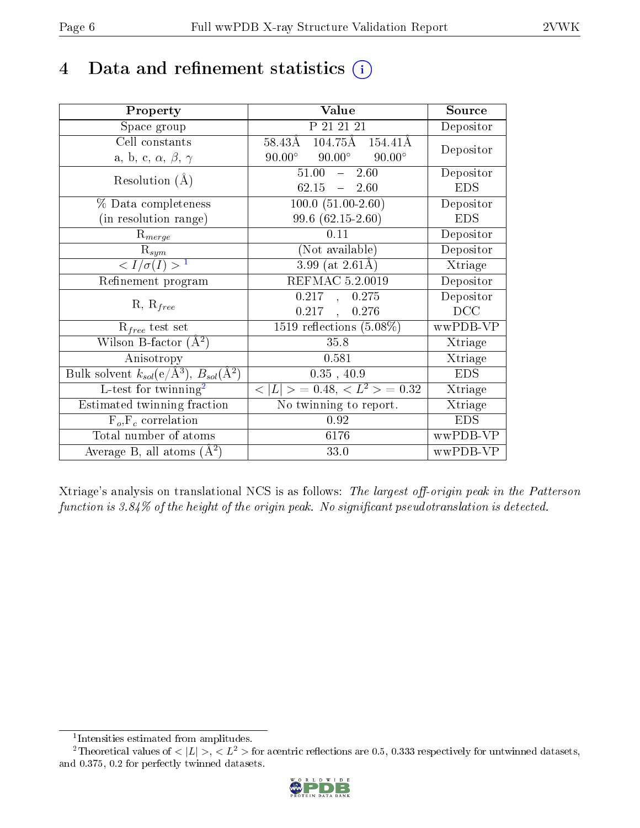## 4 Data and refinement statistics  $(i)$

| Property                                                             | Value                                           | Source     |
|----------------------------------------------------------------------|-------------------------------------------------|------------|
| Space group                                                          | P 21 21 21                                      | Depositor  |
| Cell constants                                                       | $104.75\text{\AA}$ $154.41\text{\AA}$<br>58.43Å | Depositor  |
| a, b, c, $\alpha$ , $\beta$ , $\gamma$                               | $90.00^\circ$<br>$90.00^\circ$<br>$90.00^\circ$ |            |
| Resolution $(A)$                                                     | 51.00<br>2.60<br>$\equiv$ .                     | Depositor  |
|                                                                      | $62.15 - 2.60$                                  | <b>EDS</b> |
| $\%$ Data completeness                                               | $100.0 (51.00-2.60)$                            | Depositor  |
| (in resolution range)                                                | 99.6 $(62.15-2.60)$                             | <b>EDS</b> |
| $R_{merge}$                                                          | 0.11                                            | Depositor  |
| $\mathrm{R}_{sym}$                                                   | (Not available)                                 | Depositor  |
| $\langle I/\sigma(I) \rangle^{-1}$                                   | $3.99$ (at $2.61\text{\AA}$ )                   | Xtriage    |
| Refinement program                                                   | REFMAC 5.2.0019                                 | Depositor  |
|                                                                      | $0.217$ ,<br>0.275                              | Depositor  |
| $R, R_{free}$                                                        | $0.217$ ,<br>0.276                              | DCC        |
| $R_{free}$ test set                                                  | 1519 reflections $(5.08\%)$                     | wwPDB-VP   |
| Wilson B-factor $(A^2)$                                              | 35.8                                            | Xtriage    |
| Anisotropy                                                           | 0.581                                           | Xtriage    |
| Bulk solvent $k_{sol}(e/\mathring{A}^3)$ , $B_{sol}(\mathring{A}^2)$ | $0.35$ , 40.9                                   | <b>EDS</b> |
| L-test for $\overline{\text{twinning}}^2$                            | $< L >$ = 0.48, $< L2 >$ = 0.32                 | Xtriage    |
| Estimated twinning fraction                                          | No twinning to report.                          | Xtriage    |
| $\overline{F_o}, \overline{F_c}$ correlation                         | 0.92                                            | <b>EDS</b> |
| Total number of atoms                                                | 6176                                            | wwPDB-VP   |
| Average B, all atoms $(A^2)$                                         | 33.0                                            | wwPDB-VP   |

Xtriage's analysis on translational NCS is as follows: The largest off-origin peak in the Patterson function is  $3.84\%$  of the height of the origin peak. No significant pseudotranslation is detected.

<sup>&</sup>lt;sup>2</sup>Theoretical values of  $\langle |L| \rangle$ ,  $\langle L^2 \rangle$  for acentric reflections are 0.5, 0.333 respectively for untwinned datasets, and 0.375, 0.2 for perfectly twinned datasets.



<span id="page-5-1"></span><span id="page-5-0"></span><sup>1</sup> Intensities estimated from amplitudes.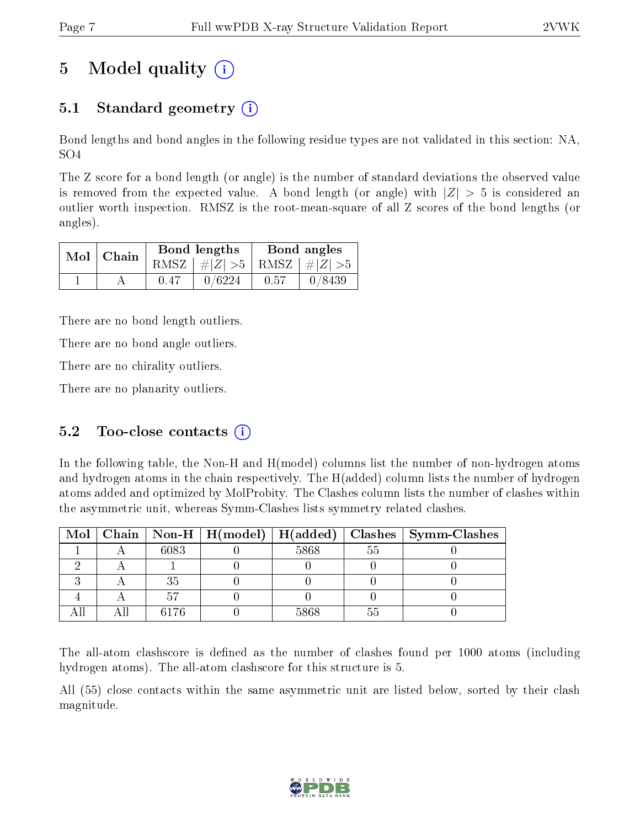## 5 Model quality  $(i)$

## 5.1 Standard geometry  $\overline{()}$

Bond lengths and bond angles in the following residue types are not validated in this section: NA, SO4

The Z score for a bond length (or angle) is the number of standard deviations the observed value is removed from the expected value. A bond length (or angle) with  $|Z| > 5$  is considered an outlier worth inspection. RMSZ is the root-mean-square of all Z scores of the bond lengths (or angles).

| $Mol$   Chain |      | Bond lengths                    | Bond angles |        |  |
|---------------|------|---------------------------------|-------------|--------|--|
|               |      | RMSZ $ #Z  > 5$ RMSZ $ #Z  > 5$ |             |        |  |
|               | 0.47 | 0/6224                          | 0.57        | 0/8439 |  |

There are no bond length outliers.

There are no bond angle outliers.

There are no chirality outliers.

There are no planarity outliers.

### 5.2 Too-close contacts  $(i)$

In the following table, the Non-H and H(model) columns list the number of non-hydrogen atoms and hydrogen atoms in the chain respectively. The H(added) column lists the number of hydrogen atoms added and optimized by MolProbity. The Clashes column lists the number of clashes within the asymmetric unit, whereas Symm-Clashes lists symmetry related clashes.

|  |      |      |     | Mol   Chain   Non-H   H(model)   H(added)   Clashes   Symm-Clashes |
|--|------|------|-----|--------------------------------------------------------------------|
|  | 6083 | 5868 | .55 |                                                                    |
|  |      |      |     |                                                                    |
|  | 35   |      |     |                                                                    |
|  |      |      |     |                                                                    |
|  | 6176 | 5868 |     |                                                                    |

The all-atom clashscore is defined as the number of clashes found per 1000 atoms (including hydrogen atoms). The all-atom clashscore for this structure is 5.

All (55) close contacts within the same asymmetric unit are listed below, sorted by their clash magnitude.

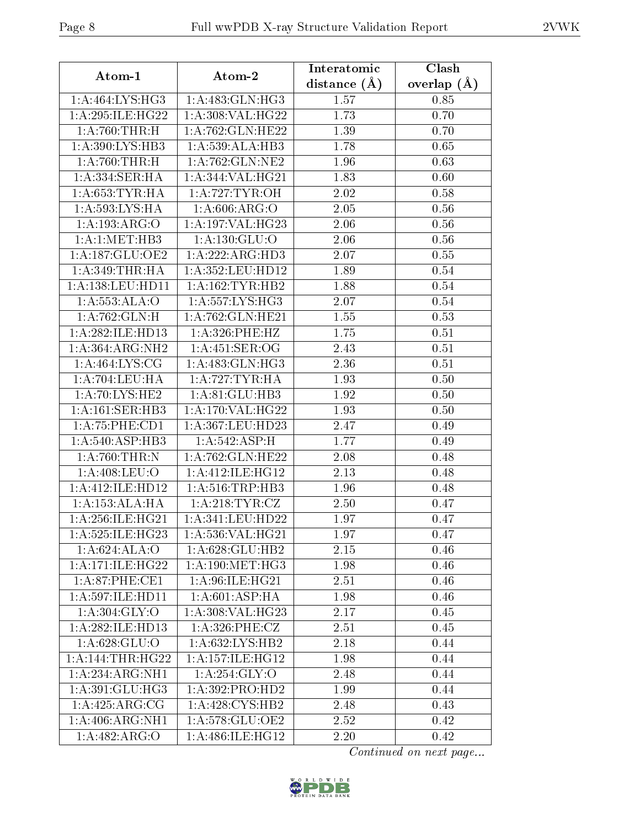| Atom-1                                | Atom-2               | Interatomic      | Clash         |
|---------------------------------------|----------------------|------------------|---------------|
|                                       |                      | distance $(\AA)$ | overlap $(A)$ |
| $1: A:464: \overline{\text{LYS:HG3}}$ | 1: A:483: GLN: HG3   | 1.57             | 0.85          |
| 1: A:295: ILE: HG22                   | 1: A:308: VAL:HG22   | 1.73             | 0.70          |
| 1: A:760:THR:H                        | 1:A:762:GLN:HE22     | 1.39             | 0.70          |
| 1:A:390:LYS:HB3                       | 1:A:539:ALA:HB3      | 1.78             | 0.65          |
| 1: A:760:THR:H                        | 1: A:762: GLN:NE2    | 1.96             | 0.63          |
| 1:A:334:SER:HA                        | 1:A:344:VAL:HG21     | 1.83             | 0.60          |
| 1:A:653:TYR:HA                        | 1: A:727: TYR:OH     | 2.02             | 0.58          |
| 1:A:593:LYS:HA                        | 1: A:606: ARG:O      | 2.05             | 0.56          |
| 1:A:193:ARG:O                         | 1: A:197: VAL:HG23   | 2.06             | 0.56          |
| 1: A:1: MET:HB3                       | 1: A: 130: GLU:O     | 2.06             | 0.56          |
| 1: A: 187: GLU: OE2                   | 1:A:222:ARG:HD3      | 2.07             | 0.55          |
| 1: A:349:THR:HA                       | 1:A:352:LEU:HD12     | 1.89             | 0.54          |
| 1: A: 138: LEU: HD11                  | 1: A: 162: TYR: HB2  | 1.88             | 0.54          |
| 1: A: 553: ALA: O                     | 1: A: 557: LYS: HG3  | 2.07             | 0.54          |
| $1:A:762:$ GLN:H                      | 1:A:762:GLN:HE21     | 1.55             | 0.53          |
| 1:A:282:ILE:HD13                      | 1: A:326: PHE:HZ     | 1.75             | 0.51          |
| 1:A:364:ARG:NH2                       | 1:A:451:SER:OG       | 2.43             | 0.51          |
| 1: A:464: LYS: CG                     | 1: A: 483: GLN: HG3  | 2.36             | 0.51          |
| 1:A:704:LEU:HA                        | 1: A:727:TYR:HA      | 1.93             | 0.50          |
| 1:A:70:LYS:HE2                        | 1: A:81: GLU:HB3     | 1.92             | 0.50          |
| 1: A:161: SER:HB3                     | 1:A:170:VAL:HG22     | 1.93             | 0.50          |
| 1:A:75:PHE:CD1                        | 1:A:367:LEU:HD23     | 2.47             | 0.49          |
| 1: A:540: ASP:HB3                     | 1: A:542: ASP:H      | 1.77             | 0.49          |
| 1: A:760:THR:N                        | 1:A:762:GLN:HE22     | 2.08             | 0.48          |
| 1:A:408:LEU:O                         | 1:A:412:ILE:HG12     | 2.13             | 0.48          |
| 1:A:412:ILE:HD12                      | 1: A:516:TRP:HB3     | 1.96             | 0.48          |
| 1:A:153:ALA:HA                        | 1: A:218: TYR: CZ    | 2.50             | 0.47          |
| 1: A:256: ILE: HG21                   | $1: A:341:$ LEU:HD22 | 1.97             | 0.47          |
| 1:A:525:ILE:HG23                      | 1:A:536:VAL:HG21     | 1.97             | 0.47          |
| 1:A:624:ALA:O                         | 1:A:628:GLU:HB2      | 2.15             | 0.46          |
| 1: A:171: ILE: HG22                   | 1: A:190:MET:HG3     | 1.98             | 0.46          |
| $1:A:87:PHE:\overline{\text{CE1}}$    | 1: A:96: ILE: HG21   | 2.51             | 0.46          |
| 1:A:597:ILE:HD11                      | 1: A:601:ASP:HA      | 1.98             | 0.46          |
| 1: A:304: GLY:O                       | 1: A:308: VAL:HG23   | 2.17             | 0.45          |
| 1:A:282:ILE:HD13                      | 1: A:326: PHE: CZ    | 2.51             | 0.45          |
| 1: A:628: GLU:O                       | 1: A:632:LYS:HB2     | 2.18             | 0.44          |
| 1: A: 144: THR: HG22                  | 1:A:157:ILE:HG12     | 1.98             | 0.44          |
| 1:A:234:ARG:NH1                       | 1:A:254:GLY:O        | 2.48             | 0.44          |
| $1: A:391: GLU: \overline{HG3}$       | 1:A:392:PRO:HD2      | 1.99             | 0.44          |
| 1:A:425:ARG:CG                        | 1:A:428:CYS:HB2      | 2.48             | 0.43          |
| 1:A:406:ARG:NH1                       | 1: A:578: GLU:OE2    | 2.52             | 0.42          |
| 1:A:482:ARG:O                         | 1:A:486:ILE:HG12     | 2.20             | 0.42          |
|                                       |                      |                  |               |

Continued on next page...

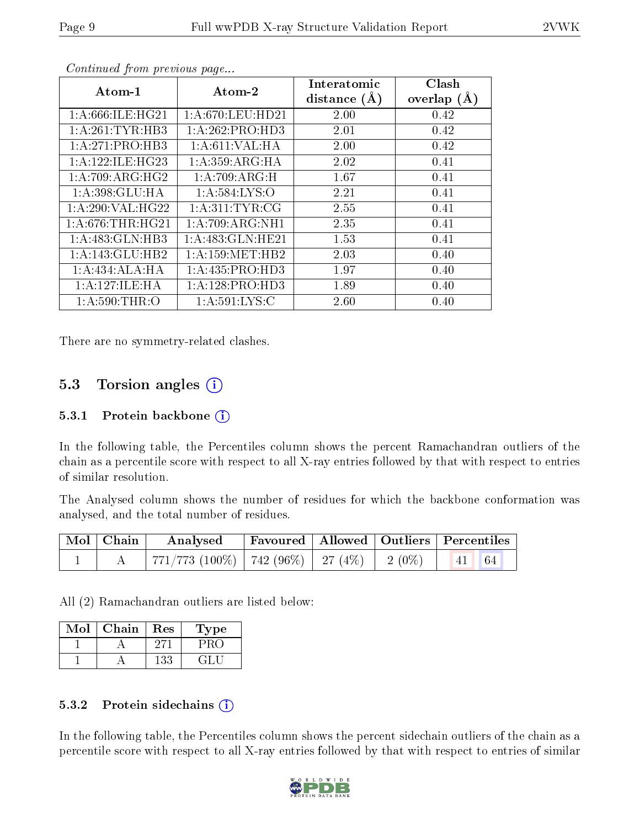| Atom-1               | Atom-2              | Interatomic    | Clash         |
|----------------------|---------------------|----------------|---------------|
|                      |                     | distance $(A)$ | overlap $(A)$ |
| 1: A:666: ILE: HG21  | 1: A:670:LEU:HD21   | 2.00           | 0.42          |
| 1: A:261:TYR:HB3     | 1:A:262:PRO:HD3     | 2.01           | 0.42          |
| 1:A:271:PRO:HB3      | 1: A:611:VAL:HA     | 2.00           | 0.42          |
| 1: A: 122: ILE: HG23 | 1: A:359: ARG: HA   | 2.02           | 0.41          |
| 1:A:709:ARG:HG2      | 1:A:709:ARG:H       | 1.67           | 0.41          |
| 1:A:398:GLU:HA       | 1: A:584:LYS:O      | 2.21           | 0.41          |
| 1: A:290: VAL:HG22   | 1: A:311: TYR: CG   | 2.55           | 0.41          |
| 1: A:676:THR:HG21    | 1: A:709: ARG:NH1   | 2.35           | 0.41          |
| 1:A:483:GLN:HB3      | 1: A:483: GLN: HE21 | 1.53           | 0.41          |
| 1:A:143:GLU:HB2      | 1: A: 159: MET: HB2 | 2.03           | 0.40          |
| 1:A:434:ALA:HA       | 1:A:435:PRO:HD3     | 1.97           | 0.40          |
| 1:A:127:ILE:HA       | 1:A:128:PRO:HD3     | 1.89           | 0.40          |
| 1: A:590:THR:O       | 1: A:591:LYS:C      | 2.60           | 0.40          |

Continued from previous page...

There are no symmetry-related clashes.

## 5.3 Torsion angles  $(i)$

#### 5.3.1 Protein backbone (i)

In the following table, the Percentiles column shows the percent Ramachandran outliers of the chain as a percentile score with respect to all X-ray entries followed by that with respect to entries of similar resolution.

The Analysed column shows the number of residues for which the backbone conformation was analysed, and the total number of residues.

| $\vert$ Mol $\vert$ Chain $\vert$ | $\boldsymbol{\mathrm{Analysed}}$                        | Favoured   Allowed   Outliers   Percentiles |  |  |
|-----------------------------------|---------------------------------------------------------|---------------------------------------------|--|--|
|                                   | 771/773 (100%)   742 (96%)   27 (4%)   2 (0%)   41   64 |                                             |  |  |

All (2) Ramachandran outliers are listed below:

| Mol | Chain | Res | Type |
|-----|-------|-----|------|
|     |       |     |      |
|     |       |     |      |

#### 5.3.2 Protein sidechains  $\left( \mathbf{i} \right)$

In the following table, the Percentiles column shows the percent sidechain outliers of the chain as a percentile score with respect to all X-ray entries followed by that with respect to entries of similar

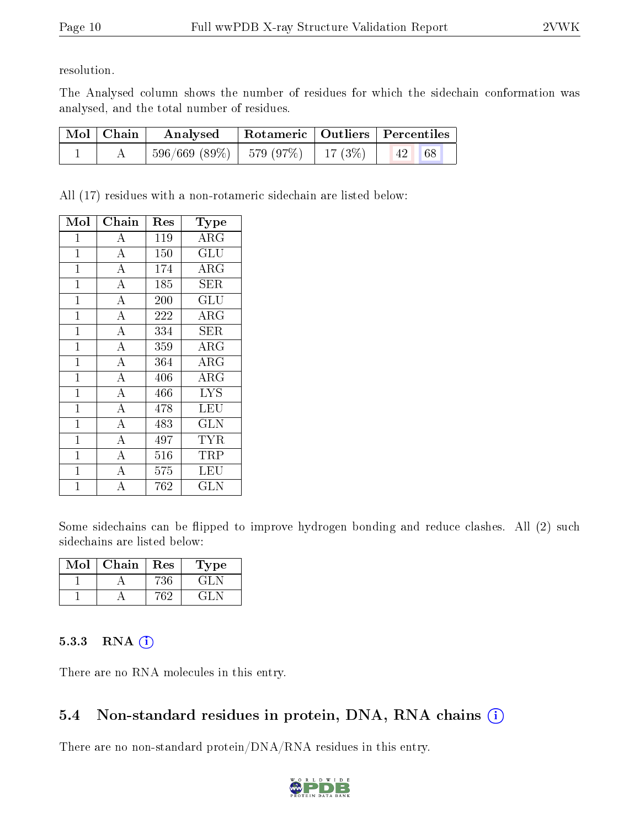resolution.

The Analysed column shows the number of residues for which the sidechain conformation was analysed, and the total number of residues.

| $\mid$ Mol $\mid$ Chain $\mid$ | Analysed                                 |  | Rotameric   Outliers   Percentiles |  |
|--------------------------------|------------------------------------------|--|------------------------------------|--|
|                                | $596/669$ (89\%)   579 (97\%)   17 (3\%) |  | 68<br> 42                          |  |

All (17) residues with a non-rotameric sidechain are listed below:

| Mol            | ${\bf Chain}$      | $\operatorname{Res}% \left( \mathcal{N}\right) \equiv\operatorname{Res}(\mathcal{N}_{0})\cap\mathcal{N}_{1}$ | <b>Type</b>             |
|----------------|--------------------|--------------------------------------------------------------------------------------------------------------|-------------------------|
| $\mathbf 1$    | А                  | 119                                                                                                          | ARG                     |
| $\mathbf{1}$   | $\overline{A}$     | 150                                                                                                          | GLU                     |
| $\overline{1}$ | $\overline{\rm A}$ | 174                                                                                                          | $\rm{ARG}$              |
| $\mathbf{1}$   | $\overline{A}$     | 185                                                                                                          | <b>SER</b>              |
| $\mathbf 1$    | $\overline{\rm A}$ | 200                                                                                                          | $GL\overline{U}$        |
| $\overline{1}$ | $\overline{\rm A}$ | 222                                                                                                          | $\rm{ARG}$              |
| $\mathbf{1}$   | $\overline{\rm A}$ | 334                                                                                                          | SER                     |
| $\mathbf{1}$   | $\overline{\rm A}$ | 359                                                                                                          | $\rm{ARG}$              |
| $\mathbf{1}$   | $\overline{A}$     | 364                                                                                                          | ARG                     |
| $\mathbf{1}$   | $\overline{\rm A}$ | 406                                                                                                          | ARG                     |
| $\mathbf{1}$   | $\overline{\rm A}$ | 466                                                                                                          | <b>LYS</b>              |
| $\mathbf{1}$   | $\overline{A}$     | 478                                                                                                          | LEU                     |
| $\overline{1}$ | $\overline{\rm A}$ | 483                                                                                                          | $\overline{\text{GLN}}$ |
| $\mathbf{1}$   | $\overline{A}$     | 497                                                                                                          | <b>TYR</b>              |
| $\mathbf{1}$   | $\overline{\rm A}$ | 516                                                                                                          | TRP                     |
| $\mathbf 1$    | $\overline{\rm A}$ | 575                                                                                                          | LEU                     |
| 1              | А                  | 762                                                                                                          | GLN                     |

Some sidechains can be flipped to improve hydrogen bonding and reduce clashes. All (2) such sidechains are listed below:

| Mol | Chain | Res | Type |
|-----|-------|-----|------|
|     |       |     |      |
|     |       |     |      |

#### 5.3.3 RNA (i)

There are no RNA molecules in this entry.

## 5.4 Non-standard residues in protein, DNA, RNA chains  $(i)$

There are no non-standard protein/DNA/RNA residues in this entry.

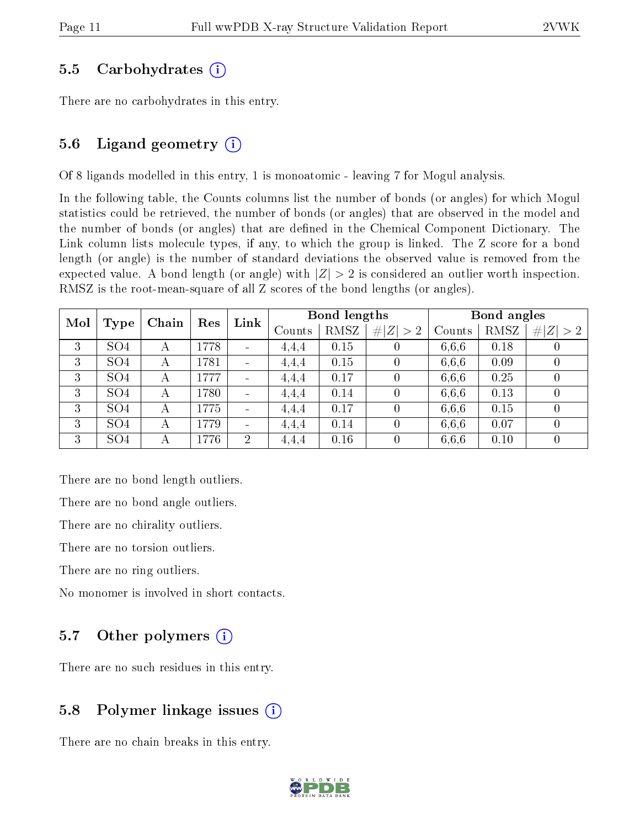#### 5.5 Carbohydrates (i)

There are no carbohydrates in this entry.

### 5.6 Ligand geometry  $(i)$

Of 8 ligands modelled in this entry, 1 is monoatomic - leaving 7 for Mogul analysis.

In the following table, the Counts columns list the number of bonds (or angles) for which Mogul statistics could be retrieved, the number of bonds (or angles) that are observed in the model and the number of bonds (or angles) that are defined in the Chemical Component Dictionary. The Link column lists molecule types, if any, to which the group is linked. The Z score for a bond length (or angle) is the number of standard deviations the observed value is removed from the expected value. A bond length (or angle) with  $|Z| > 2$  is considered an outlier worth inspection. RMSZ is the root-mean-square of all Z scores of the bond lengths (or angles).

| Mol |                 | Chain | Link<br>Res |                | Bond lengths |        |                  | Bond angles |        |                  |        |
|-----|-----------------|-------|-------------|----------------|--------------|--------|------------------|-------------|--------|------------------|--------|
|     | <b>Type</b>     |       |             |                |              | Counts | <b>RMSZ</b>      | # $ Z  > 2$ | Counts | RMSZ             | Z  > 2 |
| 3   | SO <sub>4</sub> | А     | 1778        | $\sim$         | 4,4,4        | 0.15   | $\left( \right)$ | 6,6,6       | 0.18   | U                |        |
| 3   | SO <sub>4</sub> | А     | 1781        |                | 4,4,4        | 0.15   | $\overline{0}$   | 6,6,6       | 0.09   | 0                |        |
| 3   | SO <sub>4</sub> | А     | 1777        |                | 4,4,4        | 0.17   | $\overline{0}$   | 6,6,6       | 0.25   | 0                |        |
| 3   | SO <sub>4</sub> | A     | 1780        |                | 4,4,4        | 0.14   | $\Omega$         | 6,6,6       | 0.13   | $\left( \right)$ |        |
| 3   | SO <sub>4</sub> | А     | 1775        |                | 4,4,4        | 0.17   | $\left( \right)$ | 6,6,6       | 0.15   | $\left( \right)$ |        |
| 3   | SO <sub>4</sub> | А     | 1779        |                | 4.4.4        | 0.14   | $\left( \right)$ | 6,6,6       | 0.07   | $\left( \right)$ |        |
| 3   | SO <sub>4</sub> | А     | 1776        | $\overline{2}$ | 4,4,4        | 0.16   | $\left( \right)$ | 6,6,6       | 0.10   | $\left( \right)$ |        |

There are no bond length outliers.

There are no bond angle outliers.

There are no chirality outliers.

There are no torsion outliers.

There are no ring outliers.

No monomer is involved in short contacts.

### 5.7 [O](https://www.wwpdb.org/validation/2017/XrayValidationReportHelp#nonstandard_residues_and_ligands)ther polymers  $(i)$

There are no such residues in this entry.

### 5.8 Polymer linkage issues  $(i)$

There are no chain breaks in this entry.

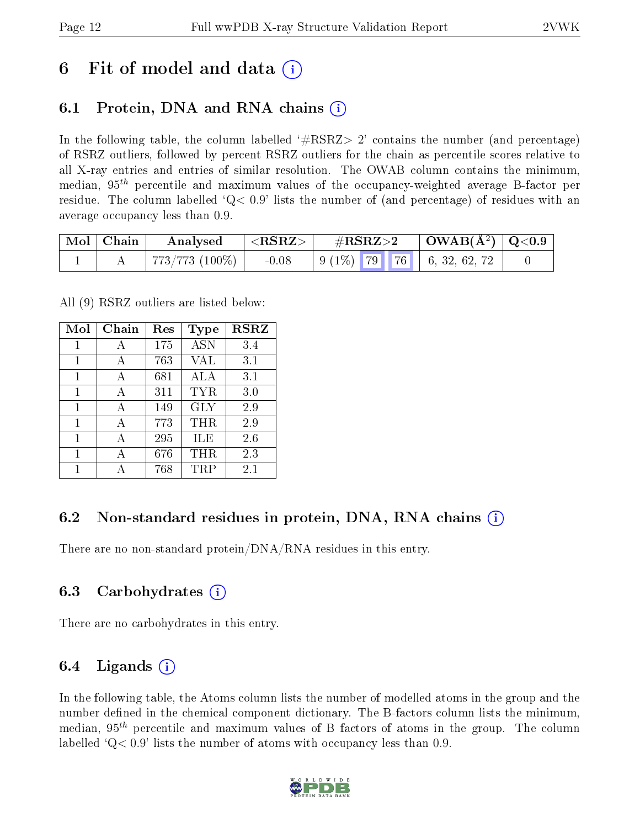## 6 Fit of model and data  $\left( \cdot \right)$

## 6.1 Protein, DNA and RNA chains (i)

In the following table, the column labelled  $#RSRZ>2'$  contains the number (and percentage) of RSRZ outliers, followed by percent RSRZ outliers for the chain as percentile scores relative to all X-ray entries and entries of similar resolution. The OWAB column contains the minimum, median,  $95<sup>th</sup>$  percentile and maximum values of the occupancy-weighted average B-factor per residue. The column labelled  $Q< 0.9$  lists the number of (and percentage) of residues with an average occupancy less than 0.9.

| $\blacksquare$ Mol $\blacksquare$ Chain | Analysed                      | ${ <\hspace{-1.5pt} {\rm RSRZ} \hspace{-1.5pt}>}$ | $\#\text{RSRZ}\text{>2}$ | $\mid$ OWAB(Å <sup>2</sup> ) $\mid$ Q<0.9 $\mid$ |  |
|-----------------------------------------|-------------------------------|---------------------------------------------------|--------------------------|--------------------------------------------------|--|
|                                         | $\pm 773/773$ $(100\%)$ $\pm$ | $-0.08$                                           |                          |                                                  |  |

All (9) RSRZ outliers are listed below:

| Mol          | Chain | $\operatorname{Res}% \left( \mathcal{N}\right) \equiv\operatorname{Res}(\mathcal{N}_{0})\cap\mathcal{N}_{1}$ | <b>Type</b> | <b>RSRZ</b> |
|--------------|-------|--------------------------------------------------------------------------------------------------------------|-------------|-------------|
| 1            | А     | 175                                                                                                          | <b>ASN</b>  | 3.4         |
| 1            | A     | 763                                                                                                          | VAL         | 3.1         |
| 1            | А     | 681                                                                                                          | ALA         | 3.1         |
| 1            | А     | 311                                                                                                          | TYR         | 3.0         |
| $\mathbf{1}$ | A     | 149                                                                                                          | <b>GLY</b>  | 2.9         |
| 1            | А     | 773                                                                                                          | THR         | 2.9         |
| 1            |       | 295                                                                                                          | ILE         | 2.6         |
| 1            | А     | 676                                                                                                          | THR         | 2.3         |
|              |       | 768                                                                                                          | TRP         | 2.1         |

### 6.2 Non-standard residues in protein, DNA, RNA chains  $(i)$

There are no non-standard protein/DNA/RNA residues in this entry.

### 6.3 Carbohydrates (i)

There are no carbohydrates in this entry.

### 6.4 Ligands  $(i)$

In the following table, the Atoms column lists the number of modelled atoms in the group and the number defined in the chemical component dictionary. The B-factors column lists the minimum, median,  $95<sup>th</sup>$  percentile and maximum values of B factors of atoms in the group. The column labelled  $Q< 0.9$  lists the number of atoms with occupancy less than 0.9.